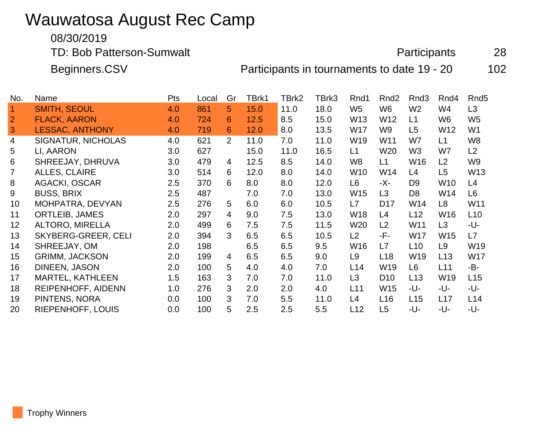# Wauwatosa August Rec Camp

#### 08/30/2019

TD: Bob Patterson-Sumwalt **Participants** 28

Beginners.CSV **Participants in tournaments to date 19 - 20** 102

| No.             | Name                       | Pts | Local | Gr             | TBrk1 | TBrk2 | TBrk3 | Rnd1            | Rnd <sub>2</sub> | Rnd3            | Rnd4            | Rnd <sub>5</sub> |
|-----------------|----------------------------|-----|-------|----------------|-------|-------|-------|-----------------|------------------|-----------------|-----------------|------------------|
| $\overline{1}$  | <b>SMITH, SEOUL</b>        | 4.0 | 861   | 5              | 15.0  | 11.0  | 18.0  | W <sub>5</sub>  | W <sub>6</sub>   | W <sub>2</sub>  | W4              | L <sub>3</sub>   |
| $\overline{2}$  | <b>FLACK, AARON</b>        | 4.0 | 724   | 6              | 12.5  | 8.5   | 15.0  | W <sub>13</sub> | W12              | L1              | W6              | W <sub>5</sub>   |
| 3               | <b>LESSAC, ANTHONY</b>     | 4.0 | 719   | 6              | 12.0  | 8.0   | 13.5  | W17             | W9               | L5              | W12             | W <sub>1</sub>   |
| 4               | <b>SIGNATUR, NICHOLAS</b>  | 4.0 | 621   | $\overline{2}$ | 11.0  | 7.0   | 11.0  | W19             | W11              | W7              | L1              | W8               |
| 5               | LI, AARON                  | 3.0 | 627   |                | 15.0  | 11.0  | 16.5  | L1              | W20              | W <sub>3</sub>  | W7              | L2               |
| 6               | SHREEJAY, DHRUVA           | 3.0 | 479   | 4              | 12.5  | 8.5   | 14.0  | W <sub>8</sub>  | L1               | W16             | L <sub>2</sub>  | W9               |
| $\overline{7}$  | <b>ALLES, CLAIRE</b>       | 3.0 | 514   | 6              | 12.0  | 8.0   | 14.0  | W <sub>10</sub> | W14              | L4              | L <sub>5</sub>  | W13              |
| 8               | <b>AGACKI, OSCAR</b>       | 2.5 | 370   | 6              | 8.0   | 8.0   | 12.0  | L6              | -X-              | D9              | W10             | L4               |
| 9               | <b>BUSS, BRIX</b>          | 2.5 | 487   |                | 7.0   | 7.0   | 13.0  | W <sub>15</sub> | L <sub>3</sub>   | D <sub>8</sub>  | W14             | L <sub>6</sub>   |
| 10 <sup>°</sup> | MOHPATRA, DEVYAN           | 2.5 | 276   | 5              | 6.0   | 6.0   | 10.5  | L7              | D <sub>17</sub>  | W <sub>14</sub> | L <sub>8</sub>  | W11              |
| 11              | <b>ORTLEIB, JAMES</b>      | 2.0 | 297   | 4              | 9.0   | 7.5   | 13.0  | W18             | L4               | L12             | W16             | L10              |
| 12              | <b>ALTORO, MIRELLA</b>     | 2.0 | 499   | 6              | 7.5   | 7.5   | 11.5  | W <sub>20</sub> | L <sub>2</sub>   | W11             | L <sub>3</sub>  | -U-              |
| 13              | <b>SKYBERG-GREER, CELI</b> | 2.0 | 394   | 3              | 6.5   | 6.5   | 10.5  | L2              | -F-              | W17             | W <sub>15</sub> | L7               |
| 14              | SHREEJAY, OM               | 2.0 | 198   |                | 6.5   | 6.5   | 9.5   | W16             | L7               | L10             | L <sub>9</sub>  | W19              |
| 15              | <b>GRIMM, JACKSON</b>      | 2.0 | 199   | 4              | 6.5   | 6.5   | 9.0   | L <sub>9</sub>  | L18              | W19             | L13             | <b>W17</b>       |
| 16              | DINEEN, JASON              | 2.0 | 100   | 5              | 4.0   | 4.0   | 7.0   | L14             | W <sub>19</sub>  | L <sub>6</sub>  | L11             | -B-              |
| 17              | <b>MARTEL, KATHLEEN</b>    | 1.5 | 163   | 3              | 7.0   | 7.0   | 11.0  | L3              | D <sub>10</sub>  | L13             | W19             | L15              |
| 18              | REIPENHOFF, AIDENN         | 1.0 | 276   | 3              | 2.0   | 2.0   | 4.0   | L11             | W15              | -U-             | -U-             | -U-              |
| 19              | PINTENS, NORA              | 0.0 | 100   | 3              | 7.0   | 5.5   | 11.0  | L4              | L16              | L15             | L17             | L14              |
| 20              | RIEPENHOFF, LOUIS          | 0.0 | 100   | 5              | 2.5   | 2.5   | 5.5   | L12             | L <sub>5</sub>   | -U-             | -U-             | -U-              |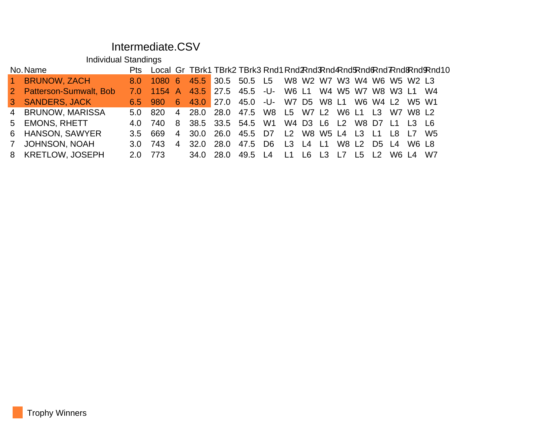#### Intermediate.CSV

Individual Standings

| No. Name |                          |         |                                                          |  |                                                |  |  |  |  |  | Pts Local Gr TBrk1 TBrk2 TBrk3 Rnd1 Rnd Rnd Rnd Rnd Rnd Rnd Rnd Rnd Rnd 10 |
|----------|--------------------------|---------|----------------------------------------------------------|--|------------------------------------------------|--|--|--|--|--|----------------------------------------------------------------------------|
|          | 1 BRUNOW, ZACH           |         | 8.0 1080 6 45.5 30.5 50.5 L5 W8 W2 W7 W3 W4 W6 W5 W2 L3  |  |                                                |  |  |  |  |  |                                                                            |
|          | 2 Patterson-Sumwalt, Bob |         | 7.0 1154 A 43.5 27.5 45.5 -U- W6 L1 W4 W5 W7 W8 W3 L1 W4 |  |                                                |  |  |  |  |  |                                                                            |
|          | 3 SANDERS, JACK          |         | 6.5 980 6 43.0 27.0 45.0 -U- W7 D5 W8 L1 W6 W4 L2 W5 W1  |  |                                                |  |  |  |  |  |                                                                            |
|          | 4 BRUNOW, MARISSA        |         | 5.0 820 4 28.0 28.0 47.5 W8 L5 W7 L2 W6 L1 L3 W7 W8 L2   |  |                                                |  |  |  |  |  |                                                                            |
|          | 5 EMONS, RHETT           |         | 4.0 740 8 38.5 33.5 54.5 W1 W4 D3 L6 L2 W8 D7 L1 L3 L6   |  |                                                |  |  |  |  |  |                                                                            |
|          | 6 HANSON, SAWYER         | $3.5 -$ | 669                                                      |  | 4 30.0 26.0 45.5 D7 L2 W8 W5 L4 L3 L1 L8 L7 W5 |  |  |  |  |  |                                                                            |
|          | 7 JOHNSON, NOAH          |         | $3.0$ 743                                                |  | 4 32.0 28.0 47.5 D6 L3 L4 L1 W8 L2 D5 L4 W6 L8 |  |  |  |  |  |                                                                            |
|          | 8 KRETLOW, JOSEPH        |         | 2.0 773 34.0 28.0 49.5 L4 L1 L6 L3 L7 L5 L2 W6 L4 W7     |  |                                                |  |  |  |  |  |                                                                            |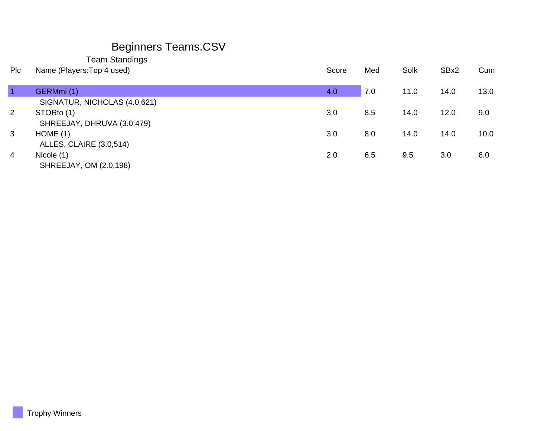## Beginners Teams.CSV

Team Standings

| Plc            | Name (Players: Top 4 used)     | Score | Med | Solk | SBx2 | Cum  |
|----------------|--------------------------------|-------|-----|------|------|------|
|                |                                |       |     |      |      |      |
|                | GERMmi(1)                      | 4.0   | 7.0 | 11.0 | 14.0 | 13.0 |
|                | SIGNATUR, NICHOLAS (4.0,621)   |       |     |      |      |      |
| $\overline{2}$ | STORfo (1)                     | 3.0   | 8.5 | 14.0 | 12.0 | 9.0  |
|                | SHREEJAY, DHRUVA (3.0,479)     |       |     |      |      |      |
| 3              | HOME(1)                        | 3.0   | 8.0 | 14.0 | 14.0 | 10.0 |
|                | <b>ALLES, CLAIRE (3.0,514)</b> |       |     |      |      |      |
| 4              | Nicole (1)                     | 2.0   | 6.5 | 9.5  | 3.0  | 6.0  |
|                | SHREEJAY, OM (2.0,198)         |       |     |      |      |      |